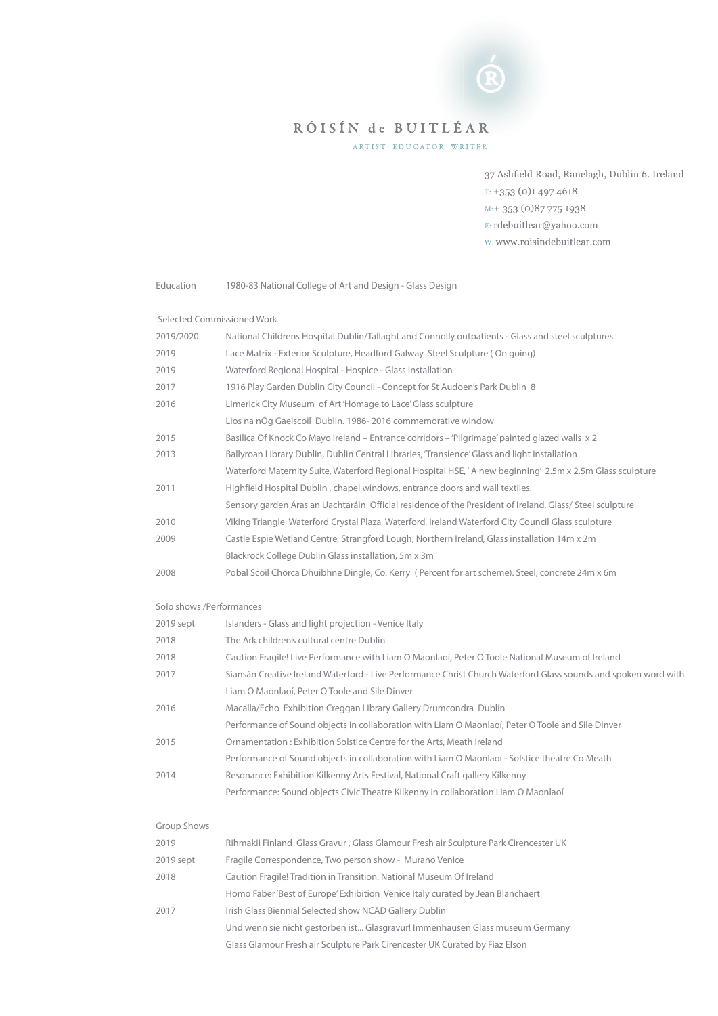# RÓISÍN de BUITLÉAR

ARTIST EDUCATOR WRITER

37 Ashfield Road, Ranelagh, Dublin 6. Ireland  $T: +353(0)14974618$  $M: + 353(0)877751938$ E: rdebuitlear@yahoo.com w: www.roisindebuitlear.com

Education 1980-83 National College of Art and Design - Glass Design

Selected Commissioned Work

| 2019/2020 | National Childrens Hospital Dublin/Tallaght and Connolly outpatients - Glass and steel sculptures.        |
|-----------|-----------------------------------------------------------------------------------------------------------|
| 2019      | Lace Matrix - Exterior Sculpture, Headford Galway Steel Sculpture (On going)                              |
| 2019      | Waterford Regional Hospital - Hospice - Glass Installation                                                |
| 2017      | 1916 Play Garden Dublin City Council - Concept for St Audoen's Park Dublin 8                              |
| 2016      | Limerick City Museum of Art 'Homage to Lace' Glass sculpture                                              |
|           | Lios na nÓg Gaelscoil Dublin. 1986-2016 commemorative window                                              |
| 2015      | Basilica Of Knock Co Mayo Ireland – Entrance corridors – 'Pilgrimage' painted glazed walls x 2            |
| 2013      | Ballyroan Library Dublin, Dublin Central Libraries, 'Transience' Glass and light installation             |
|           | Waterford Maternity Suite, Waterford Regional Hospital HSE, 'A new beginning' 2.5m x 2.5m Glass sculpture |
| 2011      | Highfield Hospital Dublin, chapel windows, entrance doors and wall textiles.                              |
|           | Sensory garden Aras an Uachtaráin Official residence of the President of Ireland. Glass/ Steel sculpture  |
| 2010      | Viking Triangle Waterford Crystal Plaza, Waterford, Ireland Waterford City Council Glass sculpture        |
| 2009      | Castle Espie Wetland Centre, Strangford Lough, Northern Ireland, Glass installation 14m x 2m              |
|           | Blackrock College Dublin Glass installation, 5m x 3m                                                      |
| 2008      | Pobal Scoil Chorca Dhuibhne Dingle, Co. Kerry (Percent for art scheme). Steel, concrete 24m x 6m          |
|           |                                                                                                           |

#### Solo shows /Performances

| 2019 sept | Islanders - Glass and light projection - Venice Italy                                                           |
|-----------|-----------------------------------------------------------------------------------------------------------------|
| 2018      | The Ark children's cultural centre Dublin                                                                       |
| 2018      | Caution Fragile! Live Performance with Liam O Maonlaoí, Peter O Toole National Museum of Ireland                |
| 2017      | Siansán Creative Ireland Waterford - Live Performance Christ Church Waterford Glass sounds and spoken word with |
|           | Liam O Maonlaoí, Peter O Toole and Sile Dinver                                                                  |
| 2016      | Macalla/Echo Exhibition Creggan Library Gallery Drumcondra Dublin                                               |
|           | Performance of Sound objects in collaboration with Liam O Maonlaoi, Peter O Toole and Sile Dinver               |
| 2015      | Ornamentation: Exhibition Solstice Centre for the Arts, Meath Ireland                                           |
|           | Performance of Sound objects in collaboration with Liam O Maonlaoi - Solstice theatre Co Meath                  |
| 2014      | Resonance: Exhibition Kilkenny Arts Festival, National Craft gallery Kilkenny                                   |
|           | Performance: Sound objects Civic Theatre Kilkenny in collaboration Liam O Maonlaoí                              |

| Group Shows |  |
|-------------|--|
|-------------|--|

| 2019      | Rihmakii Finland Glass Gravur, Glass Glamour Fresh air Sculpture Park Cirencester UK |
|-----------|--------------------------------------------------------------------------------------|
| 2019 sept | Fragile Correspondence, Two person show - Murano Venice                              |
| 2018      | Caution Fragile! Tradition in Transition. National Museum Of Ireland                 |
|           | Homo Faber 'Best of Europe' Exhibition Venice Italy curated by Jean Blanchaert       |
| 2017      | Irish Glass Biennial Selected show NCAD Gallery Dublin                               |
|           | Und wenn sie nicht gestorben ist Glasgravur! Immenhausen Glass museum Germany        |
|           | Glass Glamour Fresh air Sculpture Park Cirencester UK Curated by Fiaz Elson          |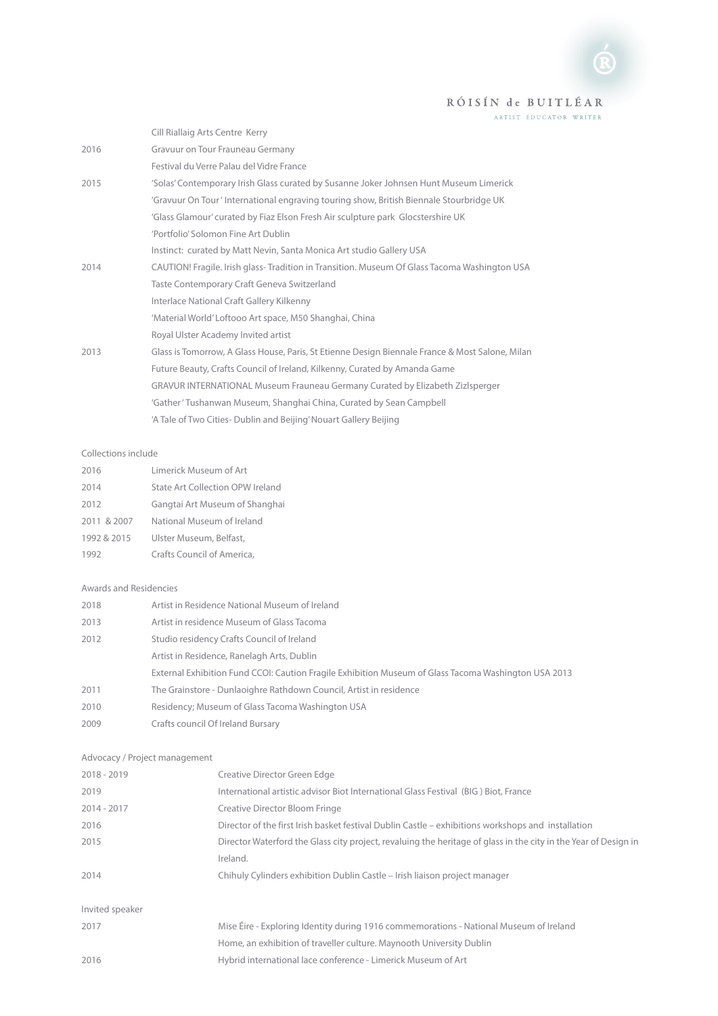## RÓISÍN de BUITLÉAR

ARTIST EDUCATOR WRITER

|      | Cill Riallaig Arts Centre Kerry                                                                 |
|------|-------------------------------------------------------------------------------------------------|
| 2016 | Gravuur on Tour Frauneau Germany                                                                |
|      | Festival du Verre Palau del Vidre France                                                        |
| 2015 | 'Solas' Contemporary Irish Glass curated by Susanne Joker Johnsen Hunt Museum Limerick          |
|      | 'Gravuur On Tour' International engraving touring show, British Biennale Stourbridge UK         |
|      | 'Glass Glamour' curated by Fiaz Elson Fresh Air sculpture park Glocstershire UK                 |
|      | 'Portfolio' Solomon Fine Art Dublin                                                             |
|      | Instinct: curated by Matt Nevin, Santa Monica Art studio Gallery USA                            |
| 2014 | CAUTION! Fragile. Irish glass-Tradition in Transition. Museum Of Glass Tacoma Washington USA    |
|      | Taste Contemporary Craft Geneva Switzerland                                                     |
|      | Interlace National Craft Gallery Kilkenny                                                       |
|      | 'Material World' Loftooo Art space, M50 Shanghai, China                                         |
|      | Royal Ulster Academy Invited artist                                                             |
| 2013 | Glass is Tomorrow, A Glass House, Paris, St Etienne Design Biennale France & Most Salone, Milan |
|      | Future Beauty, Crafts Council of Ireland, Kilkenny, Curated by Amanda Game                      |
|      | GRAVUR INTERNATIONAL Museum Frauneau Germany Curated by Elizabeth Zizlsperger                   |
|      | 'Gather' Tushanwan Museum, Shanghai China, Curated by Sean Campbell                             |
|      | 'A Tale of Two Cities- Dublin and Beijing' Nouart Gallery Beijing                               |

#### Collections include

| 2016        | Limerick Museum of Art           |
|-------------|----------------------------------|
| 2014        | State Art Collection OPW Ireland |
| 2012        | Gangtai Art Museum of Shanghai   |
| 2011 & 2007 | National Museum of Ireland       |
| 1992 & 2015 | Ulster Museum, Belfast,          |
| 1992        | Crafts Council of America,       |

#### Awards and Residencies

| 2018 | Artist in Residence National Museum of Ireland                                                       |
|------|------------------------------------------------------------------------------------------------------|
| 2013 | Artist in residence Museum of Glass Tacoma                                                           |
| 2012 | Studio residency Crafts Council of Ireland                                                           |
|      | Artist in Residence, Ranelagh Arts, Dublin                                                           |
|      | External Exhibition Fund CCOI: Caution Fragile Exhibition Museum of Glass Tacoma Washington USA 2013 |
| 2011 | The Grainstore - Dunlaoighre Rathdown Council, Artist in residence                                   |
| 2010 | Residency; Museum of Glass Tacoma Washington USA                                                     |
| 2009 | Crafts council Of Ireland Bursary                                                                    |

### Advocacy / Project management

| $2018 - 2019$   | Creative Director Green Edge                                                                                    |
|-----------------|-----------------------------------------------------------------------------------------------------------------|
| 2019            | International artistic advisor Biot International Glass Festival (BIG) Biot, France                             |
| $2014 - 2017$   | Creative Director Bloom Fringe                                                                                  |
| 2016            | Director of the first Irish basket festival Dublin Castle – exhibitions workshops and installation              |
| 2015            | Director Waterford the Glass city project, revaluing the heritage of glass in the city in the Year of Design in |
|                 | Ireland.                                                                                                        |
| 2014            | Chihuly Cylinders exhibition Dublin Castle - Irish liaison project manager                                      |
| Invited speaker |                                                                                                                 |
| 2017            | Mise Eire - Exploring Identity during 1916 commemorations - National Museum of Ireland                          |
|                 | Home, an exhibition of traveller culture. Maynooth University Dublin                                            |
| 2016            | Hybrid international lace conference - Limerick Museum of Art                                                   |